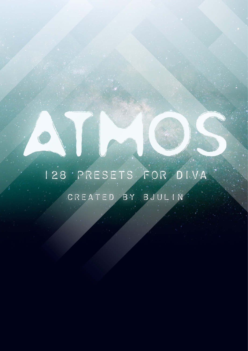# I28 PRESETS FOR DIVA CREATED BY BJULIN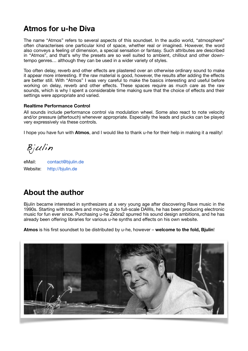### **Atmos for u-he Diva**

The name "Atmos" refers to several aspects of this soundset. In the audio world, "atmosphere" often characterises one particular kind of space, whether real or imagined. However, the word also conveys a feeling of dimension, a special sensation or fantasy. Such attributes are described in "Atmos", and that's why the presets are so well suited to ambient, chillout and other downtempo genres… although they can be used in a wider variety of styles.

Too often delay, reverb and other effects are plastered over an otherwise ordinary sound to make it appear more interesting. If the raw material is good, however, the results after adding the effects are better still. With "Atmos" I was very careful to make the basics interesting and useful before working on delay, reverb and other effects. These spaces require as much care as the raw sounds, which is why I spent a considerable time making sure that the choice of effects and their settings were appropriate and varied.

#### **Realtime Performance Control**

All sounds include performance control via modulation wheel. Some also react to note velocity and/or pressure (aftertouch) whenever appropriate. Especially the leads and plucks can be played very expressively via these controls.

I hope you have fun with **Atmos**, and I would like to thank u-he for their help in making it a reality!

Bjulin

eMail: contact@bjulin.de Website: http://bjulin.de

### **About the author**

Bjulin became interested in synthesizers at a very young age after discovering Rave music in the 1990s. Starting with trackers and moving up to full-scale DAWs, he has been producing electronic music for fun ever since. Purchasing u-he Zebra2 spurred his sound design ambitions, and he has already been offering libraries for various u-he synths and effects on his own website.

**Atmos** is his first soundset to be distributed by u-he, however – **welcome to the fold, Bjulin**!

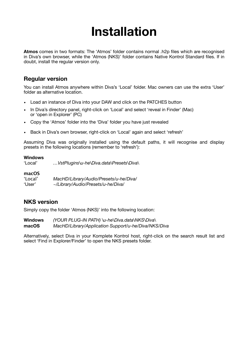# **Installation**

**Atmos** comes in two formats: The 'Atmos' folder contains normal .h2p files which are recognised in Diva's own browser, while the 'Atmos (NKS)' folder contains Native Kontrol Standard files. If in doubt, install the regular version only.

#### **Regular version**

You can install Atmos anywhere within Diva's 'Local' folder. Mac owners can use the extra 'User' folder as alternative location.

- Load an instance of Diva into your DAW and click on the PATCHES button
- In Diva's directory panel, right-click on 'Local' and select 'reveal in Finder' (Mac) or 'open in Explorer' (PC)
- Copy the 'Atmos' folder into the 'Diva' folder you have just revealed
- Back in Diva's own browser, right-click on 'Local' again and select 'refresh'

Assuming Diva was originally installed using the default paths, it will recognise and display presets in the following locations (remember to 'refresh'):

#### **Windows**

'Local' *…VstPlugins\u-he\Diva.data\Presets\Diva\* 

## **macOS**

'Local' *MacHD/Library/Audio/Presets/u-he/Diva/* 'User' *~/Library/Audio/Presets/u-he/Diva/* 

#### **NKS version**

Simply copy the folder 'Atmos (NKS)' into the following location:

**Windows** *(YOUR PLUG-IN PATH) \u-he\Diva.data\NKS\Diva\* **macOS** *MacHD/Library/Application Support/u-he/Diva/NKS/Diva*

Alternatively, select Diva in your Komplete Kontrol host, right-click on the search result list and select 'Find in Explorer/Finder' to open the NKS presets folder.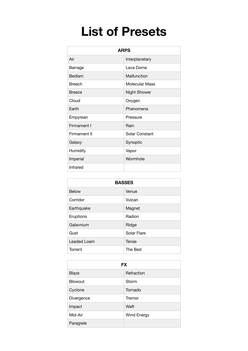# **List of Presets**

| <b>ARPS</b>   |                     |
|---------------|---------------------|
| Air           | Interplanetary      |
| Barrage       | Lava Dome           |
| Bedlam        | Malfunction         |
| <b>Breach</b> | Molecular Mass      |
| <b>Breeze</b> | <b>Night Shower</b> |
| Cloud         | Oxygen              |
| Earth         | Phenomena           |
| Empyrean      | Pressure            |
| Firmament I   | Rain                |
| Firmament II  | Solar Constant      |
| Galaxy        | Synoptic            |
| Humidity      | Vapor               |
| Imperial      | Wormhole            |
| Infrared      |                     |

| <b>BASSES</b> |              |  |
|---------------|--------------|--|
| <b>Below</b>  | Venue        |  |
| Corridor      | Vulcan       |  |
| Earthquake    | Magnet       |  |
| Eruptions     | Radion       |  |
| Galavnium     | Ridge        |  |
| Gust          | Solar Flare  |  |
| Leaded Loam   | <b>Tense</b> |  |
| Torrent       | The Bed      |  |

| <b>FX</b>  |             |  |
|------------|-------------|--|
| Blaze      | Refraction  |  |
| Blowout    | Storm       |  |
| Cyclone    | Tornado     |  |
| Divergence | Tremor      |  |
| Impact     | Waft        |  |
| Mid-Air    | Wind Energy |  |
| Paragrele  |             |  |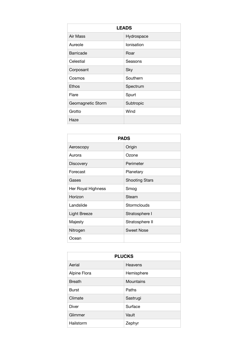| <b>LEADS</b>      |            |
|-------------------|------------|
| Air Mass          | Hydrospace |
| Aureole           | Ionisation |
| Barricade         | Roar       |
| Celestial         | Seasons    |
| Corposant         | Sky        |
| Cosmos            | Southern   |
| Ethos             | Spectrum   |
| Flare             | Spurt      |
| Geomagnetic Storm | Subtropic  |
| Grotto            | Wind       |
| Haze              |            |

| <b>PADS</b>         |                       |  |
|---------------------|-----------------------|--|
| Aeroscopy           | Origin                |  |
| Aurora              | Ozone                 |  |
| <b>Discovery</b>    | Perimeter             |  |
| Forecast            | Planetary             |  |
| Gases               | <b>Shooting Stars</b> |  |
| Her Royal Highness  | Smog                  |  |
| Horizon             | Steam                 |  |
| Landslide           | Stormclouds           |  |
| <b>Light Breeze</b> | Stratosphere I        |  |
| Majesty             | Stratosphere II       |  |
| Nitrogen            | <b>Sweet Nose</b>     |  |
| Ocean               |                       |  |

| <b>PLUCKS</b> |            |  |
|---------------|------------|--|
| Aerial        | Heavens    |  |
| Alpine Flora  | Hemisphere |  |
| <b>Breath</b> | Mountains  |  |
| <b>Burst</b>  | Paths      |  |
| Climate       | Sastrugi   |  |
| <b>Diver</b>  | Surface    |  |
| Glimmer       | Vault      |  |
| Hailstorm     | Zephyr     |  |